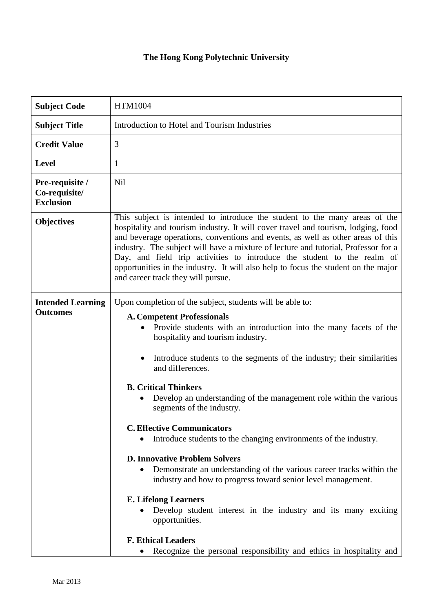## **The Hong Kong Polytechnic University**

| <b>Subject Code</b>                                  | <b>HTM1004</b>                                                                                                                                                                                                                                                                                                                                                                                                                                                                                                                                                                                                                                                                                                                                                                                                                                                                 |
|------------------------------------------------------|--------------------------------------------------------------------------------------------------------------------------------------------------------------------------------------------------------------------------------------------------------------------------------------------------------------------------------------------------------------------------------------------------------------------------------------------------------------------------------------------------------------------------------------------------------------------------------------------------------------------------------------------------------------------------------------------------------------------------------------------------------------------------------------------------------------------------------------------------------------------------------|
| <b>Subject Title</b>                                 | Introduction to Hotel and Tourism Industries                                                                                                                                                                                                                                                                                                                                                                                                                                                                                                                                                                                                                                                                                                                                                                                                                                   |
| <b>Credit Value</b>                                  | 3                                                                                                                                                                                                                                                                                                                                                                                                                                                                                                                                                                                                                                                                                                                                                                                                                                                                              |
| <b>Level</b>                                         | 1                                                                                                                                                                                                                                                                                                                                                                                                                                                                                                                                                                                                                                                                                                                                                                                                                                                                              |
| Pre-requisite /<br>Co-requisite/<br><b>Exclusion</b> | Nil                                                                                                                                                                                                                                                                                                                                                                                                                                                                                                                                                                                                                                                                                                                                                                                                                                                                            |
| <b>Objectives</b>                                    | This subject is intended to introduce the student to the many areas of the<br>hospitality and tourism industry. It will cover travel and tourism, lodging, food<br>and beverage operations, conventions and events, as well as other areas of this<br>industry. The subject will have a mixture of lecture and tutorial, Professor for a<br>Day, and field trip activities to introduce the student to the realm of<br>opportunities in the industry. It will also help to focus the student on the major<br>and career track they will pursue.                                                                                                                                                                                                                                                                                                                                |
| <b>Intended Learning</b><br><b>Outcomes</b>          | Upon completion of the subject, students will be able to:<br><b>A. Competent Professionals</b><br>Provide students with an introduction into the many facets of the<br>hospitality and tourism industry.<br>Introduce students to the segments of the industry; their similarities<br>$\bullet$<br>and differences.<br><b>B. Critical Thinkers</b><br>Develop an understanding of the management role within the various<br>$\bullet$<br>segments of the industry.<br><b>C. Effective Communicators</b><br>Introduce students to the changing environments of the industry.<br><b>D. Innovative Problem Solvers</b><br>Demonstrate an understanding of the various career tracks within the<br>industry and how to progress toward senior level management.<br><b>E. Lifelong Learners</b><br>Develop student interest in the industry and its many exciting<br>opportunities. |
|                                                      | <b>F. Ethical Leaders</b><br>Recognize the personal responsibility and ethics in hospitality and<br>$\bullet$                                                                                                                                                                                                                                                                                                                                                                                                                                                                                                                                                                                                                                                                                                                                                                  |